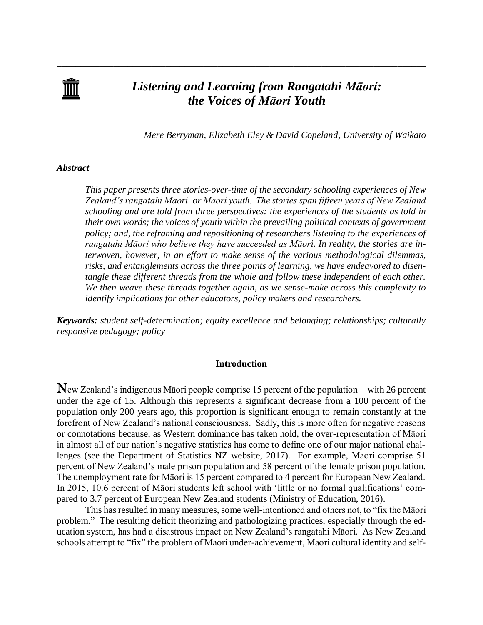

\_\_\_\_\_\_\_\_\_\_\_\_\_\_\_\_\_\_\_\_\_\_\_\_\_\_\_\_\_\_\_\_\_\_\_\_\_\_\_\_\_\_\_\_\_\_\_\_\_\_\_\_\_\_\_\_\_\_\_\_\_\_\_\_\_\_\_\_\_\_\_\_\_\_\_\_\_\_

\_\_\_\_\_\_\_\_\_\_\_\_\_\_\_\_\_\_\_\_\_\_\_\_\_\_\_\_\_\_\_\_\_\_\_\_\_\_\_\_\_\_\_\_\_\_\_\_\_\_\_\_\_\_\_\_\_\_\_\_\_\_\_\_\_\_\_\_\_\_\_\_\_\_\_\_\_\_

*Mere Berryman, Elizabeth Eley & David Copeland, University of Waikato*

### *Abstract*

*This paper presents three stories-over-time of the secondary schooling experiences of New Zealand's rangatahi Māori–or Māori youth. The stories span fifteen years of New Zealand schooling and are told from three perspectives: the experiences of the students as told in their own words; the voices of youth within the prevailing political contexts of government policy; and, the reframing and repositioning of researchers listening to the experiences of rangatahi Māori who believe they have succeeded as Māori. In reality, the stories are interwoven, however, in an effort to make sense of the various methodological dilemmas, risks, and entanglements across the three points of learning, we have endeavored to disentangle these different threads from the whole and follow these independent of each other. We then weave these threads together again, as we sense-make across this complexity to identify implications for other educators, policy makers and researchers.* 

*Keywords: student self-determination; equity excellence and belonging; relationships; culturally responsive pedagogy; policy*

### **Introduction**

**N**ew Zealand's indigenous Māori people comprise 15 percent of the population—with 26 percent under the age of 15. Although this represents a significant decrease from a 100 percent of the population only 200 years ago, this proportion is significant enough to remain constantly at the forefront of New Zealand's national consciousness. Sadly, this is more often for negative reasons or connotations because, as Western dominance has taken hold, the over-representation of Māori in almost all of our nation's negative statistics has come to define one of our major national challenges (see the Department of Statistics NZ website, 2017). For example, Māori comprise 51 percent of New Zealand's male prison population and 58 percent of the female prison population. The unemployment rate for Māori is 15 percent compared to 4 percent for European New Zealand. In 2015, 10.6 percent of Māori students left school with 'little or no formal qualifications' compared to 3.7 percent of European New Zealand students (Ministry of Education, 2016).

This has resulted in many measures, some well-intentioned and others not, to "fix the Māori problem." The resulting deficit theorizing and pathologizing practices, especially through the education system, has had a disastrous impact on New Zealand's rangatahi Māori. As New Zealand schools attempt to "fix" the problem of Māori under-achievement, Māori cultural identity and self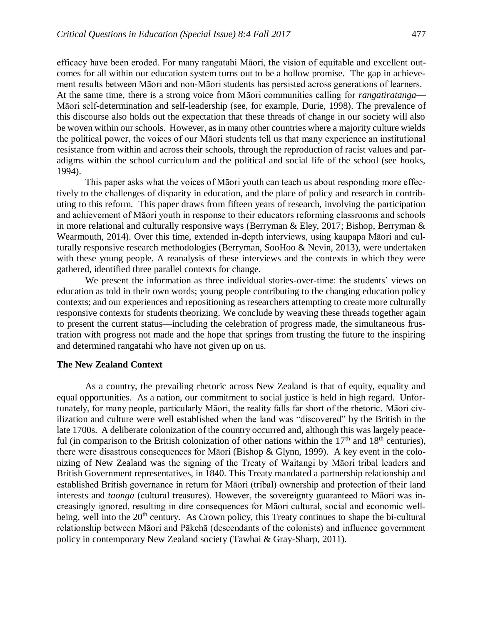efficacy have been eroded. For many rangatahi Māori, the vision of equitable and excellent outcomes for all within our education system turns out to be a hollow promise. The gap in achievement results between Māori and non-Māori students has persisted across generations of learners. At the same time, there is a strong voice from Māori communities calling for *rangatiratanga*— Māori self-determination and self-leadership (see, for example, Durie, 1998). The prevalence of this discourse also holds out the expectation that these threads of change in our society will also be woven within our schools. However, as in many other countries where a majority culture wields the political power, the voices of our Māori students tell us that many experience an institutional resistance from within and across their schools, through the reproduction of racist values and paradigms within the school curriculum and the political and social life of the school (see hooks, 1994).

This paper asks what the voices of Māori youth can teach us about responding more effectively to the challenges of disparity in education, and the place of policy and research in contributing to this reform. This paper draws from fifteen years of research, involving the participation and achievement of Māori youth in response to their educators reforming classrooms and schools in more relational and culturally responsive ways (Berryman & Eley, 2017; Bishop, Berryman & Wearmouth, 2014). Over this time, extended in-depth interviews, using kaupapa Māori and culturally responsive research methodologies (Berryman, SooHoo & Nevin, 2013), were undertaken with these young people. A reanalysis of these interviews and the contexts in which they were gathered, identified three parallel contexts for change.

We present the information as three individual stories-over-time: the students' views on education as told in their own words; young people contributing to the changing education policy contexts; and our experiences and repositioning as researchers attempting to create more culturally responsive contexts for students theorizing. We conclude by weaving these threads together again to present the current status—including the celebration of progress made, the simultaneous frustration with progress not made and the hope that springs from trusting the future to the inspiring and determined rangatahi who have not given up on us.

# **The New Zealand Context**

As a country, the prevailing rhetoric across New Zealand is that of equity, equality and equal opportunities. As a nation, our commitment to social justice is held in high regard. Unfortunately, for many people, particularly Māori, the reality falls far short of the rhetoric. Māori civilization and culture were well established when the land was "discovered" by the British in the late 1700s. A deliberate colonization of the country occurred and, although this was largely peaceful (in comparison to the British colonization of other nations within the  $17<sup>th</sup>$  and  $18<sup>th</sup>$  centuries), there were disastrous consequences for Māori (Bishop & Glynn, 1999). A key event in the colonizing of New Zealand was the signing of the Treaty of Waitangi by Māori tribal leaders and British Government representatives, in 1840. This Treaty mandated a partnership relationship and established British governance in return for Māori (tribal) ownership and protection of their land interests and *taonga* (cultural treasures). However, the sovereignty guaranteed to Māori was increasingly ignored, resulting in dire consequences for Māori cultural, social and economic wellbeing, well into the 20<sup>th</sup> century. As Crown policy, this Treaty continues to shape the bi-cultural relationship between Māori and Pākehā (descendants of the colonists) and influence government policy in contemporary New Zealand society (Tawhai & Gray-Sharp, 2011).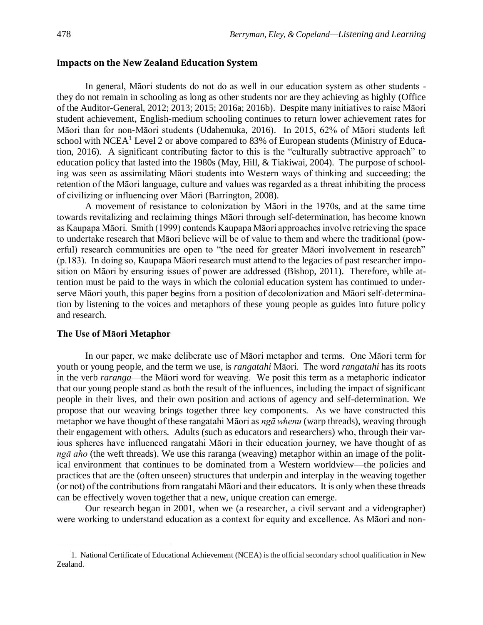## **Impacts on the New Zealand Education System**

In general, Māori students do not do as well in our education system as other students they do not remain in schooling as long as other students nor are they achieving as highly (Office of the Auditor-General, 2012; 2013; 2015; 2016a; 2016b). Despite many initiatives to raise Māori student achievement, English-medium schooling continues to return lower achievement rates for Māori than for non-Māori students (Udahemuka, 2016). In 2015, 62% of Māori students left school with NCEA<sup>1</sup> Level 2 or above compared to 83% of European students (Ministry of Education, 2016). A significant contributing factor to this is the "culturally subtractive approach" to education policy that lasted into the 1980s (May, Hill, & Tiakiwai, 2004). The purpose of schooling was seen as assimilating Māori students into Western ways of thinking and succeeding; the retention of the Māori language, culture and values was regarded as a threat inhibiting the process of civilizing or influencing over Māori (Barrington, 2008).

A movement of resistance to colonization by Māori in the 1970s, and at the same time towards revitalizing and reclaiming things Māori through self-determination, has become known as Kaupapa Māori. Smith (1999) contends Kaupapa Māori approaches involve retrieving the space to undertake research that Māori believe will be of value to them and where the traditional (powerful) research communities are open to "the need for greater Māori involvement in research" (p.183). In doing so, Kaupapa Māori research must attend to the legacies of past researcher imposition on Māori by ensuring issues of power are addressed (Bishop, 2011). Therefore, while attention must be paid to the ways in which the colonial education system has continued to underserve Māori youth, this paper begins from a position of decolonization and Māori self-determination by listening to the voices and metaphors of these young people as guides into future policy and research.

### **The Use of Māori Metaphor**

 $\overline{\phantom{a}}$ 

In our paper, we make deliberate use of Māori metaphor and terms. One Māori term for youth or young people, and the term we use, is *rangatahi* Māori. The word *rangatahi* has its roots in the verb *raranga*—the Māori word for weaving. We posit this term as a metaphoric indicator that our young people stand as both the result of the influences, including the impact of significant people in their lives, and their own position and actions of agency and self-determination. We propose that our weaving brings together three key components. As we have constructed this metaphor we have thought of these rangatahi Māori as *ngā whenu* (warp threads), weaving through their engagement with others. Adults (such as educators and researchers) who, through their various spheres have influenced rangatahi Māori in their education journey, we have thought of as *ngā aho* (the weft threads). We use this raranga (weaving) metaphor within an image of the political environment that continues to be dominated from a Western worldview—the policies and practices that are the (often unseen) structures that underpin and interplay in the weaving together (or not) of the contributions from rangatahi Māori and their educators. It is only when these threads can be effectively woven together that a new, unique creation can emerge.

Our research began in 2001, when we (a researcher, a civil servant and a videographer) were working to understand education as a context for equity and excellence. As Māori and non-

<sup>1.</sup> National Certificate of Educational Achievement (NCEA) is the official secondary school qualification in New Zealand.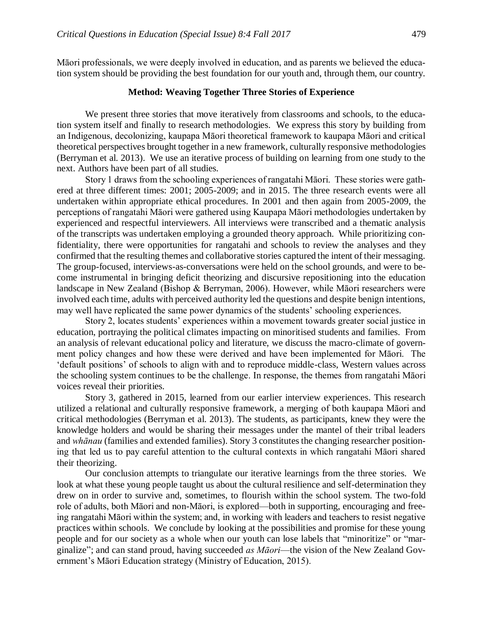Māori professionals, we were deeply involved in education, and as parents we believed the education system should be providing the best foundation for our youth and, through them, our country.

### **Method: Weaving Together Three Stories of Experience**

We present three stories that move iteratively from classrooms and schools, to the education system itself and finally to research methodologies. We express this story by building from an Indigenous, decolonizing, kaupapa Māori theoretical framework to kaupapa Māori and critical theoretical perspectives brought together in a new framework, culturally responsive methodologies (Berryman et al. 2013). We use an iterative process of building on learning from one study to the next. Authors have been part of all studies.

Story 1 draws from the schooling experiences of rangatahi Māori. These stories were gathered at three different times: 2001; 2005-2009; and in 2015. The three research events were all undertaken within appropriate ethical procedures. In 2001 and then again from 2005-2009, the perceptions of rangatahi Māori were gathered using Kaupapa Māori methodologies undertaken by experienced and respectful interviewers. All interviews were transcribed and a thematic analysis of the transcripts was undertaken employing a grounded theory approach. While prioritizing confidentiality, there were opportunities for rangatahi and schools to review the analyses and they confirmed that the resulting themes and collaborative stories captured the intent of their messaging. The group-focused, interviews-as-conversations were held on the school grounds, and were to become instrumental in bringing deficit theorizing and discursive repositioning into the education landscape in New Zealand (Bishop & Berryman, 2006). However, while Māori researchers were involved each time, adults with perceived authority led the questions and despite benign intentions, may well have replicated the same power dynamics of the students' schooling experiences.

Story 2, locates students' experiences within a movement towards greater social justice in education, portraying the political climates impacting on minoritised students and families. From an analysis of relevant educational policy and literature, we discuss the macro-climate of government policy changes and how these were derived and have been implemented for Māori. The 'default positions' of schools to align with and to reproduce middle-class, Western values across the schooling system continues to be the challenge. In response, the themes from rangatahi Māori voices reveal their priorities.

Story 3, gathered in 2015, learned from our earlier interview experiences. This research utilized a relational and culturally responsive framework, a merging of both kaupapa Māori and critical methodologies (Berryman et al. 2013). The students, as participants, knew they were the knowledge holders and would be sharing their messages under the mantel of their tribal leaders and *whānau* (families and extended families). Story 3 constitutes the changing researcher positioning that led us to pay careful attention to the cultural contexts in which rangatahi Māori shared their theorizing.

Our conclusion attempts to triangulate our iterative learnings from the three stories. We look at what these young people taught us about the cultural resilience and self-determination they drew on in order to survive and, sometimes, to flourish within the school system. The two-fold role of adults, both Māori and non-Māori, is explored—both in supporting, encouraging and freeing rangatahi Māori within the system; and, in working with leaders and teachers to resist negative practices within schools. We conclude by looking at the possibilities and promise for these young people and for our society as a whole when our youth can lose labels that "minoritize" or "marginalize"; and can stand proud, having succeeded *as Māori*—the vision of the New Zealand Government's Māori Education strategy (Ministry of Education, 2015).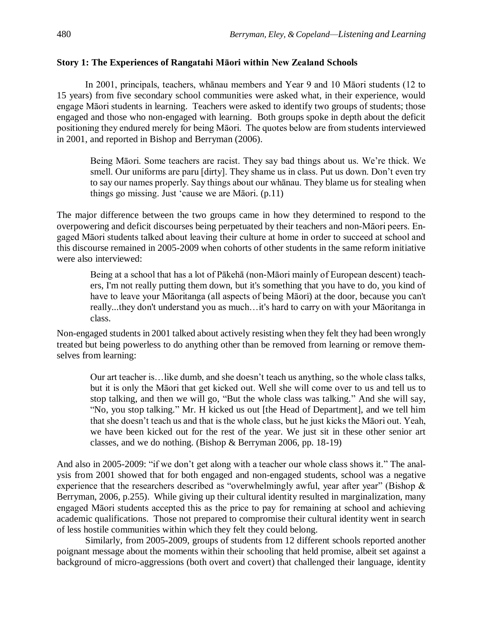# **Story 1: The Experiences of Rangatahi Māori within New Zealand Schools**

In 2001, principals, teachers, whānau members and Year 9 and 10 Māori students (12 to 15 years) from five secondary school communities were asked what, in their experience, would engage Māori students in learning. Teachers were asked to identify two groups of students; those engaged and those who non-engaged with learning. Both groups spoke in depth about the deficit positioning they endured merely for being Māori. The quotes below are from students interviewed in 2001, and reported in Bishop and Berryman (2006).

Being Māori. Some teachers are racist. They say bad things about us. We're thick. We smell. Our uniforms are paru [dirty]. They shame us in class. Put us down. Don't even try to say our names properly. Say things about our whānau. They blame us for stealing when things go missing. Just 'cause we are Māori. (p.11)

The major difference between the two groups came in how they determined to respond to the overpowering and deficit discourses being perpetuated by their teachers and non-Māori peers. Engaged Māori students talked about leaving their culture at home in order to succeed at school and this discourse remained in 2005-2009 when cohorts of other students in the same reform initiative were also interviewed:

Being at a school that has a lot of Pākehā (non-Māori mainly of European descent) teachers, I'm not really putting them down, but it's something that you have to do, you kind of have to leave your Māoritanga (all aspects of being Māori) at the door, because you can't really...they don't understand you as much…it's hard to carry on with your Māoritanga in class.

Non-engaged students in 2001 talked about actively resisting when they felt they had been wrongly treated but being powerless to do anything other than be removed from learning or remove themselves from learning:

Our art teacher is…like dumb, and she doesn't teach us anything, so the whole class talks, but it is only the Māori that get kicked out. Well she will come over to us and tell us to stop talking, and then we will go, "But the whole class was talking." And she will say, "No, you stop talking." Mr. H kicked us out [the Head of Department], and we tell him that she doesn't teach us and that is the whole class, but he just kicks the Māori out. Yeah, we have been kicked out for the rest of the year. We just sit in these other senior art classes, and we do nothing. (Bishop & Berryman 2006, pp. 18-19)

And also in 2005-2009: "if we don't get along with a teacher our whole class shows it." The analysis from 2001 showed that for both engaged and non-engaged students, school was a negative experience that the researchers described as "overwhelmingly awful, year after year" (Bishop & Berryman, 2006, p.255). While giving up their cultural identity resulted in marginalization, many engaged Māori students accepted this as the price to pay for remaining at school and achieving academic qualifications. Those not prepared to compromise their cultural identity went in search of less hostile communities within which they felt they could belong.

Similarly, from 2005-2009, groups of students from 12 different schools reported another poignant message about the moments within their schooling that held promise, albeit set against a background of micro-aggressions (both overt and covert) that challenged their language, identity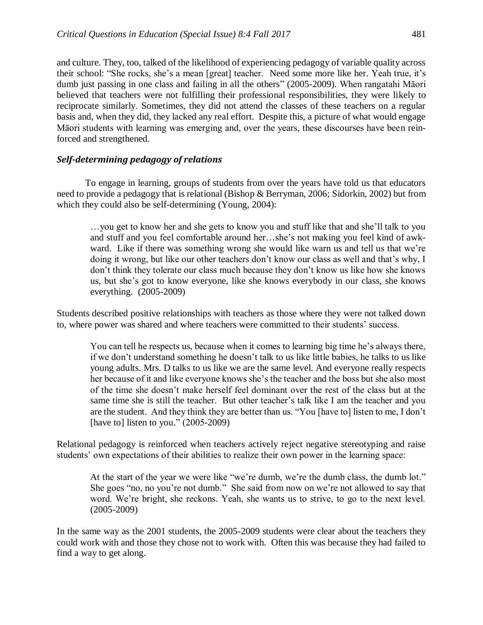and culture. They, too, talked of the likelihood of experiencing pedagogy of variable quality across their school: "She rocks, she's a mean [great] teacher. Need some more like her. Yeah true, it's dumb just passing in one class and failing in all the others" (2005-2009). When rangatahi Māori believed that teachers were not fulfilling their professional responsibilities, they were likely to reciprocate similarly. Sometimes, they did not attend the classes of these teachers on a regular basis and, when they did, they lacked any real effort. Despite this, a picture of what would engage Māori students with learning was emerging and, over the years, these discourses have been reinforced and strengthened.

# *Self-determining pedagogy of relations*

To engage in learning, groups of students from over the years have told us that educators need to provide a pedagogy that is relational (Bishop & Berryman, 2006; Sidorkin, 2002) but from which they could also be self-determining (Young, 2004):

…you get to know her and she gets to know you and stuff like that and she'll talk to you and stuff and you feel comfortable around her…she's not making you feel kind of awkward. Like if there was something wrong she would like warn us and tell us that we're doing it wrong, but like our other teachers don't know our class as well and that's why, I don't think they tolerate our class much because they don't know us like how she knows us, but she's got to know everyone, like she knows everybody in our class, she knows everything. (2005-2009)

Students described positive relationships with teachers as those where they were not talked down to, where power was shared and where teachers were committed to their students' success.

You can tell he respects us, because when it comes to learning big time he's always there, if we don't understand something he doesn't talk to us like little babies, he talks to us like young adults. Mrs. D talks to us like we are the same level. And everyone really respects her because of it and like everyone knows she's the teacher and the boss but she also most of the time she doesn't make herself feel dominant over the rest of the class but at the same time she is still the teacher. But other teacher's talk like I am the teacher and you are the student. And they think they are better than us. "You [have to] listen to me, I don't [have to] listen to you."  $(2005-2009)$ 

Relational pedagogy is reinforced when teachers actively reject negative stereotyping and raise students' own expectations of their abilities to realize their own power in the learning space:

At the start of the year we were like "we're dumb, we're the dumb class, the dumb lot." She goes "no, no you're not dumb." She said from now on we're not allowed to say that word. We're bright, she reckons. Yeah, she wants us to strive, to go to the next level. (2005-2009)

In the same way as the 2001 students, the 2005-2009 students were clear about the teachers they could work with and those they chose not to work with. Often this was because they had failed to find a way to get along.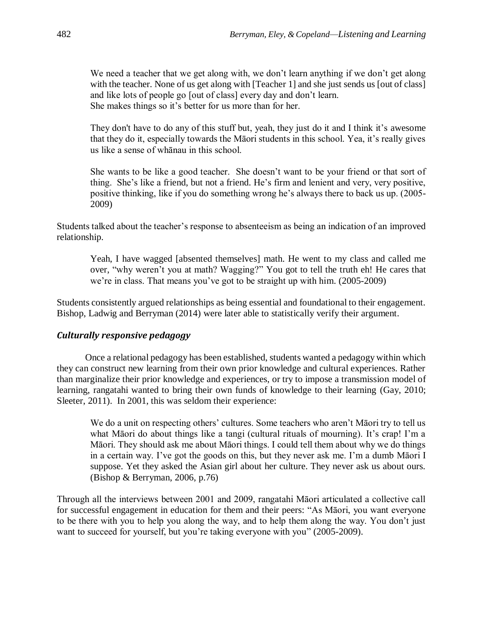We need a teacher that we get along with, we don't learn anything if we don't get along with the teacher. None of us get along with [Teacher 1] and she just sends us [out of class] and like lots of people go [out of class] every day and don't learn. She makes things so it's better for us more than for her.

They don't have to do any of this stuff but, yeah, they just do it and I think it's awesome that they do it, especially towards the Māori students in this school. Yea, it's really gives us like a sense of whānau in this school.

She wants to be like a good teacher. She doesn't want to be your friend or that sort of thing. She's like a friend, but not a friend. He's firm and lenient and very, very positive, positive thinking, like if you do something wrong he's always there to back us up. (2005- 2009)

Students talked about the teacher's response to absenteeism as being an indication of an improved relationship.

Yeah, I have wagged [absented themselves] math. He went to my class and called me over, "why weren't you at math? Wagging?" You got to tell the truth eh! He cares that we're in class. That means you've got to be straight up with him. (2005-2009)

Students consistently argued relationships as being essential and foundational to their engagement. Bishop, Ladwig and Berryman (2014) were later able to statistically verify their argument.

# *Culturally responsive pedagogy*

Once a relational pedagogy has been established, students wanted a pedagogy within which they can construct new learning from their own prior knowledge and cultural experiences. Rather than marginalize their prior knowledge and experiences, or try to impose a transmission model of learning, rangatahi wanted to bring their own funds of knowledge to their learning (Gay, 2010; Sleeter, 2011). In 2001, this was seldom their experience:

We do a unit on respecting others' cultures. Some teachers who aren't Māori try to tell us what Māori do about things like a tangi (cultural rituals of mourning). It's crap! I'm a Māori. They should ask me about Māori things. I could tell them about why we do things in a certain way. I've got the goods on this, but they never ask me. I'm a dumb Māori I suppose. Yet they asked the Asian girl about her culture. They never ask us about ours. (Bishop & Berryman, 2006, p.76)

Through all the interviews between 2001 and 2009, rangatahi Māori articulated a collective call for successful engagement in education for them and their peers: "As Māori, you want everyone to be there with you to help you along the way, and to help them along the way. You don't just want to succeed for yourself, but you're taking everyone with you" (2005-2009).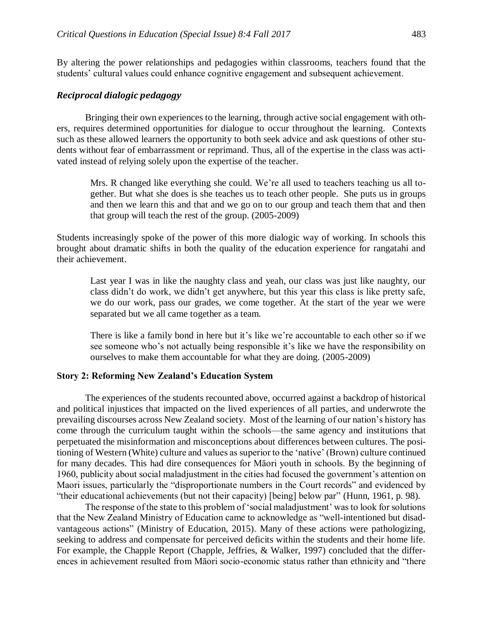By altering the power relationships and pedagogies within classrooms, teachers found that the students' cultural values could enhance cognitive engagement and subsequent achievement.

### *Reciprocal dialogic pedagogy*

Bringing their own experiences to the learning, through active social engagement with others, requires determined opportunities for dialogue to occur throughout the learning. Contexts such as these allowed learners the opportunity to both seek advice and ask questions of other students without fear of embarrassment or reprimand. Thus, all of the expertise in the class was activated instead of relying solely upon the expertise of the teacher.

Mrs. R changed like everything she could. We're all used to teachers teaching us all together. But what she does is she teaches us to teach other people. She puts us in groups and then we learn this and that and we go on to our group and teach them that and then that group will teach the rest of the group. (2005-2009)

Students increasingly spoke of the power of this more dialogic way of working. In schools this brought about dramatic shifts in both the quality of the education experience for rangatahi and their achievement.

Last year I was in like the naughty class and yeah, our class was just like naughty, our class didn't do work, we didn't get anywhere, but this year this class is like pretty safe, we do our work, pass our grades, we come together. At the start of the year we were separated but we all came together as a team.

There is like a family bond in here but it's like we're accountable to each other so if we see someone who's not actually being responsible it's like we have the responsibility on ourselves to make them accountable for what they are doing. (2005-2009)

#### **Story 2: Reforming New Zealand's Education System**

The experiences of the students recounted above, occurred against a backdrop of historical and political injustices that impacted on the lived experiences of all parties, and underwrote the prevailing discourses across New Zealand society. Most of the learning of our nation's history has come through the curriculum taught within the schools—the same agency and institutions that perpetuated the misinformation and misconceptions about differences between cultures. The positioning of Western (White) culture and values as superior to the 'native' (Brown) culture continued for many decades. This had dire consequences for Māori youth in schools. By the beginning of 1960, publicity about social maladjustment in the cities had focused the government's attention on Maori issues, particularly the "disproportionate numbers in the Court records" and evidenced by "their educational achievements (but not their capacity) [being] below par" (Hunn, 1961, p. 98).

The response of the state to this problem of 'social maladjustment' was to look for solutions that the New Zealand Ministry of Education came to acknowledge as "well-intentioned but disadvantageous actions" (Ministry of Education, 2015). Many of these actions were pathologizing, seeking to address and compensate for perceived deficits within the students and their home life. For example, the Chapple Report (Chapple, Jeffries, & Walker, 1997) concluded that the differences in achievement resulted from Māori socio-economic status rather than ethnicity and "there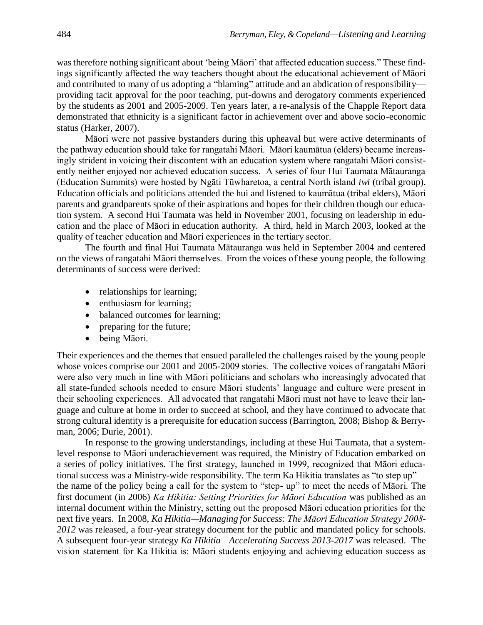was therefore nothing significant about 'being Māori' that affected education success." These findings significantly affected the way teachers thought about the educational achievement of Māori and contributed to many of us adopting a "blaming" attitude and an abdication of responsibility providing tacit approval for the poor teaching, put-downs and derogatory comments experienced by the students as 2001 and 2005-2009. Ten years later, a re-analysis of the Chapple Report data demonstrated that ethnicity is a significant factor in achievement over and above socio-economic status (Harker, 2007).

Māori were not passive bystanders during this upheaval but were active determinants of the pathway education should take for rangatahi Māori. Māori kaumātua (elders) became increasingly strident in voicing their discontent with an education system where rangatahi Māori consistently neither enjoyed nor achieved education success. A series of four Hui Taumata Mātauranga (Education Summits) were hosted by Ngāti Tūwharetoa, a central North island *iwi* (tribal group). Education officials and politicians attended the hui and listened to kaumātua (tribal elders), Māori parents and grandparents spoke of their aspirations and hopes for their children though our education system. A second Hui Taumata was held in November 2001, focusing on leadership in education and the place of Māori in education authority. A third, held in March 2003, looked at the quality of teacher education and Māori experiences in the tertiary sector.

The fourth and final Hui Taumata Mātauranga was held in September 2004 and centered on the views of rangatahi Māori themselves. From the voices of these young people, the following determinants of success were derived:

- relationships for learning;
- enthusiasm for learning;
- balanced outcomes for learning;
- preparing for the future;
- being Māori.

Their experiences and the themes that ensued paralleled the challenges raised by the young people whose voices comprise our 2001 and 2005-2009 stories. The collective voices of rangatahi Māori were also very much in line with Māori politicians and scholars who increasingly advocated that all state-funded schools needed to ensure Māori students' language and culture were present in their schooling experiences. All advocated that rangatahi Māori must not have to leave their language and culture at home in order to succeed at school, and they have continued to advocate that strong cultural identity is a prerequisite for education success (Barrington, 2008; Bishop & Berryman, 2006; Durie, 2001).

In response to the growing understandings, including at these Hui Taumata, that a systemlevel response to Māori underachievement was required, the Ministry of Education embarked on a series of policy initiatives. The first strategy, launched in 1999, recognized that Māori educational success was a Ministry-wide responsibility. The term Ka Hikitia translates as "to step up" the name of the policy being a call for the system to "step- up" to meet the needs of Māori. The first document (in 2006) *Ka Hikitia: Setting Priorities for Māori Education* was published as an internal document within the Ministry, setting out the proposed Māori education priorities for the next five years. In 2008, *Ka Hikitia—Managing for Success: The Māori Education Strategy 2008- 2012* was released, a four-year strategy document for the public and mandated policy for schools. A subsequent four-year strategy *Ka Hikitia—Accelerating Success 2013-2017* was released. The vision statement for Ka Hikitia is: Māori students enjoying and achieving education success as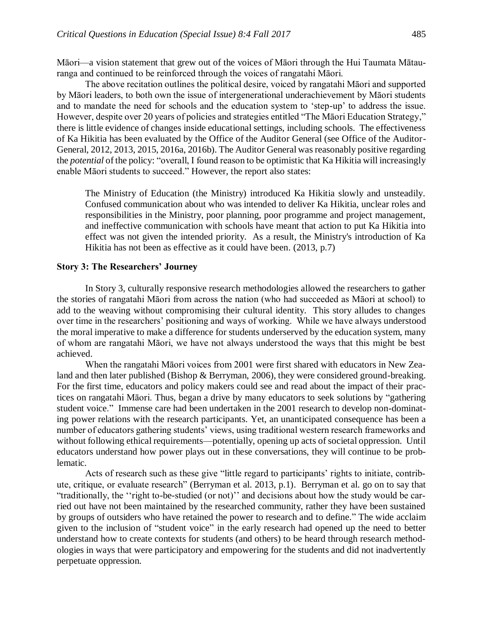Māori—a vision statement that grew out of the voices of Māori through the Hui Taumata Mātauranga and continued to be reinforced through the voices of rangatahi Māori.

The above recitation outlines the political desire, voiced by rangatahi Māori and supported by Māori leaders, to both own the issue of intergenerational underachievement by Māori students and to mandate the need for schools and the education system to 'step-up' to address the issue. However, despite over 20 years of policies and strategies entitled "The Māori Education Strategy," there is little evidence of changes inside educational settings, including schools. The effectiveness of Ka Hikitia has been evaluated by the Office of the Auditor General (see Office of the Auditor-General, 2012, 2013, 2015, 2016a, 2016b). The Auditor General was reasonably positive regarding the *potential* of the policy: "overall, I found reason to be optimistic that Ka Hikitia will increasingly enable Māori students to succeed." However, the report also states:

The Ministry of Education (the Ministry) introduced Ka Hikitia slowly and unsteadily. Confused communication about who was intended to deliver Ka Hikitia, unclear roles and responsibilities in the Ministry, poor planning, poor programme and project management, and ineffective communication with schools have meant that action to put Ka Hikitia into effect was not given the intended priority. As a result, the Ministry's introduction of Ka Hikitia has not been as effective as it could have been. (2013, p.7)

#### **Story 3: The Researchers' Journey**

In Story 3, culturally responsive research methodologies allowed the researchers to gather the stories of rangatahi Māori from across the nation (who had succeeded as Māori at school) to add to the weaving without compromising their cultural identity. This story alludes to changes over time in the researchers' positioning and ways of working. While we have always understood the moral imperative to make a difference for students underserved by the education system, many of whom are rangatahi Māori, we have not always understood the ways that this might be best achieved.

When the rangatahi Māori voices from 2001 were first shared with educators in New Zealand and then later published (Bishop & Berryman, 2006), they were considered ground-breaking. For the first time, educators and policy makers could see and read about the impact of their practices on rangatahi Māori. Thus, began a drive by many educators to seek solutions by "gathering student voice." Immense care had been undertaken in the 2001 research to develop non-dominating power relations with the research participants. Yet, an unanticipated consequence has been a number of educators gathering students' views, using traditional western research frameworks and without following ethical requirements—potentially, opening up acts of societal oppression. Until educators understand how power plays out in these conversations, they will continue to be problematic.

Acts of research such as these give "little regard to participants' rights to initiate, contribute, critique, or evaluate research" (Berryman et al. 2013, p.1). Berryman et al. go on to say that "traditionally, the ''right to-be-studied (or not)'' and decisions about how the study would be carried out have not been maintained by the researched community, rather they have been sustained by groups of outsiders who have retained the power to research and to define." The wide acclaim given to the inclusion of "student voice" in the early research had opened up the need to better understand how to create contexts for students (and others) to be heard through research methodologies in ways that were participatory and empowering for the students and did not inadvertently perpetuate oppression.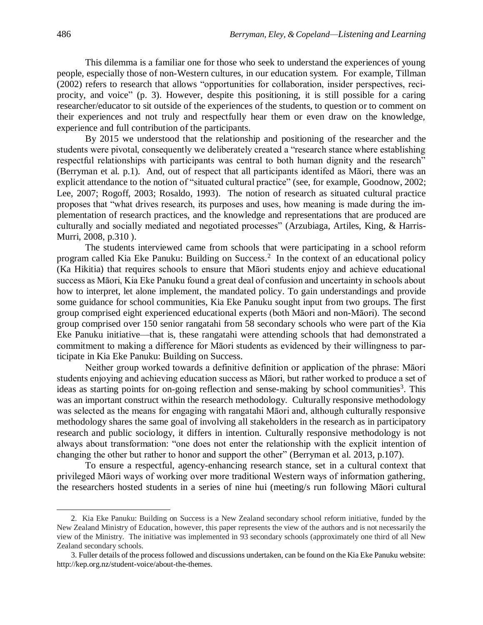This dilemma is a familiar one for those who seek to understand the experiences of young people, especially those of non-Western cultures, in our education system. For example, Tillman (2002) refers to research that allows "opportunities for collaboration, insider perspectives, reciprocity, and voice" (p. 3). However, despite this positioning, it is still possible for a caring researcher/educator to sit outside of the experiences of the students, to question or to comment on their experiences and not truly and respectfully hear them or even draw on the knowledge, experience and full contribution of the participants.

By 2015 we understood that the relationship and positioning of the researcher and the students were pivotal, consequently we deliberately created a "research stance where establishing respectful relationships with participants was central to both human dignity and the research" (Berryman et al. p.1). And, out of respect that all participants identifed as Māori, there was an explicit attendance to the notion of "situated cultural practice" (see, for example, Goodnow, 2002; Lee, 2007; Rogoff, 2003; Rosaldo, 1993). The notion of research as situated cultural practice proposes that "what drives research, its purposes and uses, how meaning is made during the implementation of research practices, and the knowledge and representations that are produced are culturally and socially mediated and negotiated processes" (Arzubiaga, Artiles, King, & Harris-Murri, 2008, p.310 ).

The students interviewed came from schools that were participating in a school reform program called Kia Eke Panuku: Building on Success. 2 In the context of an educational policy (Ka Hikitia) that requires schools to ensure that Māori students enjoy and achieve educational success as Māori, Kia Eke Panuku found a great deal of confusion and uncertainty in schools about how to interpret, let alone implement, the mandated policy. To gain understandings and provide some guidance for school communities, Kia Eke Panuku sought input from two groups. The first group comprised eight experienced educational experts (both Māori and non-Māori). The second group comprised over 150 senior rangatahi from 58 secondary schools who were part of the Kia Eke Panuku initiative—that is, these rangatahi were attending schools that had demonstrated a commitment to making a difference for Māori students as evidenced by their willingness to participate in Kia Eke Panuku: Building on Success.

Neither group worked towards a definitive definition or application of the phrase: Māori students enjoying and achieving education success as Māori, but rather worked to produce a set of ideas as starting points for on-going reflection and sense-making by school communities<sup>3</sup>. This was an important construct within the research methodology. Culturally responsive methodology was selected as the means for engaging with rangatahi Māori and, although culturally responsive methodology shares the same goal of involving all stakeholders in the research as in participatory research and public sociology, it differs in intention. Culturally responsive methodology is not always about transformation: "one does not enter the relationship with the explicit intention of changing the other but rather to honor and support the other" (Berryman et al. 2013, p.107).

To ensure a respectful, agency-enhancing research stance, set in a cultural context that privileged Māori ways of working over more traditional Western ways of information gathering, the researchers hosted students in a series of nine hui (meeting/s run following Māori cultural

l

<sup>2.</sup> Kia Eke Panuku: Building on Success is a New Zealand secondary school reform initiative, funded by the New Zealand Ministry of Education, however, this paper represents the view of the authors and is not necessarily the view of the Ministry. The initiative was implemented in 93 secondary schools (approximately one third of all New Zealand secondary schools.

<sup>3.</sup> Fuller details of the process followed and discussions undertaken, can be found on the Kia Eke Panuku website: http://kep.org.nz/student-voice/about-the-themes.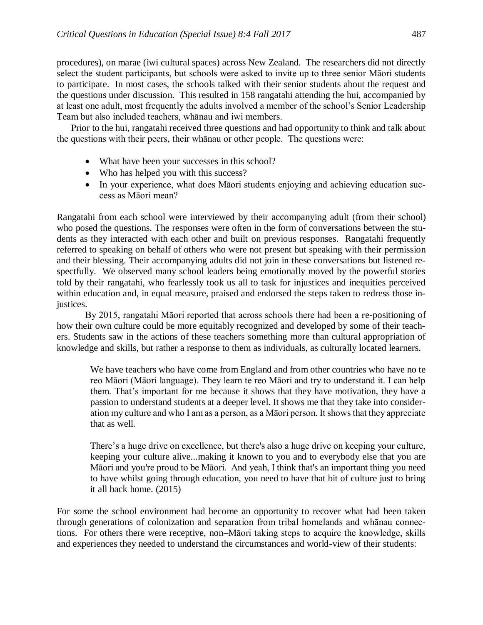procedures), on marae (iwi cultural spaces) across New Zealand. The researchers did not directly select the student participants, but schools were asked to invite up to three senior Māori students to participate. In most cases, the schools talked with their senior students about the request and the questions under discussion. This resulted in 158 rangatahi attending the hui, accompanied by at least one adult, most frequently the adults involved a member of the school's Senior Leadership Team but also included teachers, whānau and iwi members.

Prior to the hui, rangatahi received three questions and had opportunity to think and talk about the questions with their peers, their whānau or other people. The questions were:

- What have been your successes in this school?
- Who has helped you with this success?
- In your experience, what does Māori students enjoying and achieving education success as Māori mean?

Rangatahi from each school were interviewed by their accompanying adult (from their school) who posed the questions. The responses were often in the form of conversations between the students as they interacted with each other and built on previous responses. Rangatahi frequently referred to speaking on behalf of others who were not present but speaking with their permission and their blessing. Their accompanying adults did not join in these conversations but listened respectfully. We observed many school leaders being emotionally moved by the powerful stories told by their rangatahi, who fearlessly took us all to task for injustices and inequities perceived within education and, in equal measure, praised and endorsed the steps taken to redress those injustices.

By 2015, rangatahi Māori reported that across schools there had been a re-positioning of how their own culture could be more equitably recognized and developed by some of their teachers. Students saw in the actions of these teachers something more than cultural appropriation of knowledge and skills, but rather a response to them as individuals, as culturally located learners.

We have teachers who have come from England and from other countries who have no te reo Māori (Māori language). They learn te reo Māori and try to understand it. I can help them. That's important for me because it shows that they have motivation, they have a passion to understand students at a deeper level. It shows me that they take into consideration my culture and who I am as a person, as a Māori person. It shows that they appreciate that as well.

There's a huge drive on excellence, but there's also a huge drive on keeping your culture, keeping your culture alive...making it known to you and to everybody else that you are Māori and you're proud to be Māori. And yeah, I think that's an important thing you need to have whilst going through education, you need to have that bit of culture just to bring it all back home. (2015)

For some the school environment had become an opportunity to recover what had been taken through generations of colonization and separation from tribal homelands and whānau connections. For others there were receptive, non–Māori taking steps to acquire the knowledge, skills and experiences they needed to understand the circumstances and world-view of their students: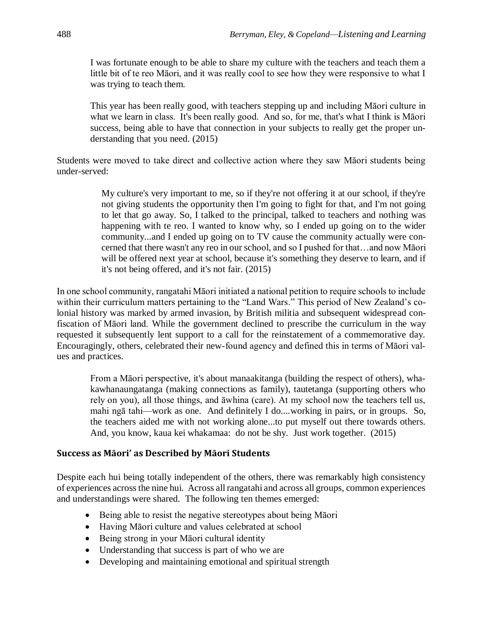I was fortunate enough to be able to share my culture with the teachers and teach them a little bit of te reo Māori, and it was really cool to see how they were responsive to what I was trying to teach them.

This year has been really good, with teachers stepping up and including Māori culture in what we learn in class. It's been really good. And so, for me, that's what I think is Māori success, being able to have that connection in your subjects to really get the proper understanding that you need. (2015)

Students were moved to take direct and collective action where they saw Māori students being under-served:

> My culture's very important to me, so if they're not offering it at our school, if they're not giving students the opportunity then I'm going to fight for that, and I'm not going to let that go away. So, I talked to the principal, talked to teachers and nothing was happening with te reo. I wanted to know why, so I ended up going on to the wider community...and I ended up going on to TV cause the community actually were concerned that there wasn't any reo in our school, and so I pushed for that…and now Māori will be offered next year at school, because it's something they deserve to learn, and if it's not being offered, and it's not fair. (2015)

In one school community, rangatahi Māori initiated a national petition to require schools to include within their curriculum matters pertaining to the "Land Wars." This period of New Zealand's colonial history was marked by armed invasion, by British militia and subsequent widespread confiscation of Māori land. While the government declined to prescribe the curriculum in the way requested it subsequently lent support to a call for the reinstatement of a commemorative day. Encouragingly, others, celebrated their new-found agency and defined this in terms of Māori values and practices.

From a Māori perspective, it's about manaakitanga (building the respect of others), whakawhanaungatanga (making connections as family), tautetanga (supporting others who rely on you), all those things, and āwhina (care). At my school now the teachers tell us, mahi ngā tahi—work as one. And definitely I do....working in pairs, or in groups. So, the teachers aided me with not working alone...to put myself out there towards others. And, you know, kaua kei whakamaa: do not be shy. Just work together. (2015)

# **Success as Māori' as Described by Māori Students**

Despite each hui being totally independent of the others, there was remarkably high consistency of experiences across the nine hui. Across all rangatahi and across all groups, common experiences and understandings were shared. The following ten themes emerged:

- [Being able to resist the negative stereotypes about being Māori](http://kep.org.nz/student-voice/about-the-themes#accordionPanel1757)
- [Having Māori culture and values celebrated at school](http://kep.org.nz/student-voice/about-the-themes#accordionPanel2064)
- [Being strong in your Māori cultural identity](http://kep.org.nz/student-voice/about-the-themes#accordionPanel1759)
- [Understanding that success is part of who we are](http://kep.org.nz/student-voice/about-the-themes#accordionPanel1761)
- [Developing and maintaining emotional and spiritual strength](http://kep.org.nz/student-voice/about-the-themes#accordionPanel1763)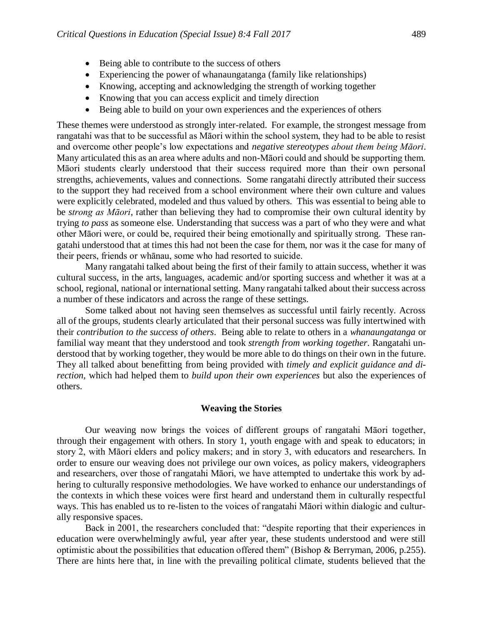- [Being able to contribute to the success of others](http://kep.org.nz/student-voice/about-the-themes#accordionPanel1765)
- [Experiencing the power of whanaungatanga](http://kep.org.nz/student-voice/about-the-themes#accordionPanel1767) (family like relationships)
- [Knowing, accepting and acknowledging the strength of working together](http://kep.org.nz/student-voice/about-the-themes#accordionPanel1769)
- [Knowing that you can access explicit and timely direction](http://kep.org.nz/student-voice/about-the-themes#accordionPanel1771)
- [Being able to build on your own experiences and the experiences of others](http://kep.org.nz/student-voice/about-the-themes#accordionPanel1773)

These themes were understood as strongly inter-related. For example, the strongest message from rangatahi was that to be successful as Māori within the school system, they had to be able to resist and overcome other people's low expectations and *negative stereotypes about them being Māori*. Many articulated this as an area where adults and non-Māori could and should be supporting them. Māori students clearly understood that their success required more than their own personal strengths, achievements, values and connections. Some rangatahi directly attributed their success to the support they had received from a school environment where their own culture and values were explicitly celebrated, modeled and thus valued by others. This was essential to being able to be *strong as Māori*, rather than believing they had to compromise their own cultural identity by trying *to pass* as someone else. Understanding that success was a part of who they were and what other Māori were, or could be, required their being emotionally and spiritually strong. These rangatahi understood that at times this had not been the case for them, nor was it the case for many of their peers, friends or whānau, some who had resorted to suicide.

Many rangatahi talked about being the first of their family to attain success, whether it was cultural success, in the arts, languages, academic and/or sporting success and whether it was at a school, regional, national or international setting. Many rangatahi talked about their success across a number of these indicators and across the range of these settings.

Some talked about not having seen themselves as successful until fairly recently. Across all of the groups, students clearly articulated that their personal success was fully intertwined with their *contribution to the success of others*. Being able to relate to others in a *whanaungatanga* or familial way meant that they understood and took *strength from working together*. Rangatahi understood that by working together, they would be more able to do things on their own in the future. They all talked about benefitting from being provided with *timely and explicit guidance and direction,* which had helped them to *build upon their own experiences* but also the experiences of others.

## **Weaving the Stories**

Our weaving now brings the voices of different groups of rangatahi Māori together, through their engagement with others. In story 1, youth engage with and speak to educators; in story 2, with Māori elders and policy makers; and in story 3, with educators and researchers. In order to ensure our weaving does not privilege our own voices, as policy makers, videographers and researchers, over those of rangatahi Māori, we have attempted to undertake this work by adhering to culturally responsive methodologies. We have worked to enhance our understandings of the contexts in which these voices were first heard and understand them in culturally respectful ways. This has enabled us to re-listen to the voices of rangatahi Māori within dialogic and culturally responsive spaces.

Back in 2001, the researchers concluded that: "despite reporting that their experiences in education were overwhelmingly awful, year after year, these students understood and were still optimistic about the possibilities that education offered them" (Bishop & Berryman, 2006, p.255). There are hints here that, in line with the prevailing political climate, students believed that the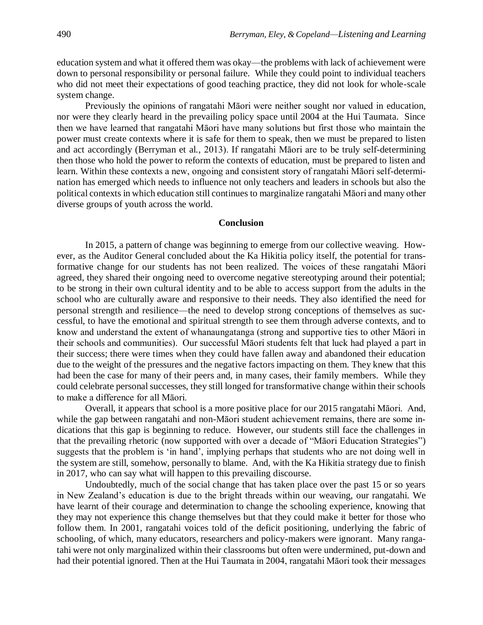education system and what it offered them was okay—the problems with lack of achievement were down to personal responsibility or personal failure. While they could point to individual teachers who did not meet their expectations of good teaching practice, they did not look for whole-scale system change.

Previously the opinions of rangatahi Māori were neither sought nor valued in education, nor were they clearly heard in the prevailing policy space until 2004 at the Hui Taumata. Since then we have learned that rangatahi Māori have many solutions but first those who maintain the power must create contexts where it is safe for them to speak, then we must be prepared to listen and act accordingly (Berryman et al., 2013). If rangatahi Māori are to be truly self-determining then those who hold the power to reform the contexts of education, must be prepared to listen and learn. Within these contexts a new, ongoing and consistent story of rangatahi Māori self-determination has emerged which needs to influence not only teachers and leaders in schools but also the political contexts in which education still continues to marginalize rangatahi Māori and many other diverse groups of youth across the world.

### **Conclusion**

In 2015, a pattern of change was beginning to emerge from our collective weaving. However, as the Auditor General concluded about the Ka Hikitia policy itself, the potential for transformative change for our students has not been realized. The voices of these rangatahi Māori agreed, they shared their ongoing need to overcome negative stereotyping around their potential; to be strong in their own cultural identity and to be able to access support from the adults in the school who are culturally aware and responsive to their needs. They also identified the need for personal strength and resilience—the need to develop strong conceptions of themselves as successful, to have the emotional and spiritual strength to see them through adverse contexts, and to know and understand the extent of whanaungatanga (strong and supportive ties to other Māori in their schools and communities). Our successful Māori students felt that luck had played a part in their success; there were times when they could have fallen away and abandoned their education due to the weight of the pressures and the negative factors impacting on them. They knew that this had been the case for many of their peers and, in many cases, their family members. While they could celebrate personal successes, they still longed for transformative change within their schools to make a difference for all Māori.

Overall, it appears that school is a more positive place for our 2015 rangatahi Māori. And, while the gap between rangatahi and non-Māori student achievement remains, there are some indications that this gap is beginning to reduce. However, our students still face the challenges in that the prevailing rhetoric (now supported with over a decade of "Māori Education Strategies") suggests that the problem is 'in hand', implying perhaps that students who are not doing well in the system are still, somehow, personally to blame. And, with the Ka Hikitia strategy due to finish in 2017, who can say what will happen to this prevailing discourse.

Undoubtedly, much of the social change that has taken place over the past 15 or so years in New Zealand's education is due to the bright threads within our weaving, our rangatahi. We have learnt of their courage and determination to change the schooling experience, knowing that they may not experience this change themselves but that they could make it better for those who follow them. In 2001, rangatahi voices told of the deficit positioning, underlying the fabric of schooling, of which, many educators, researchers and policy-makers were ignorant. Many rangatahi were not only marginalized within their classrooms but often were undermined, put-down and had their potential ignored. Then at the Hui Taumata in 2004, rangatahi Māori took their messages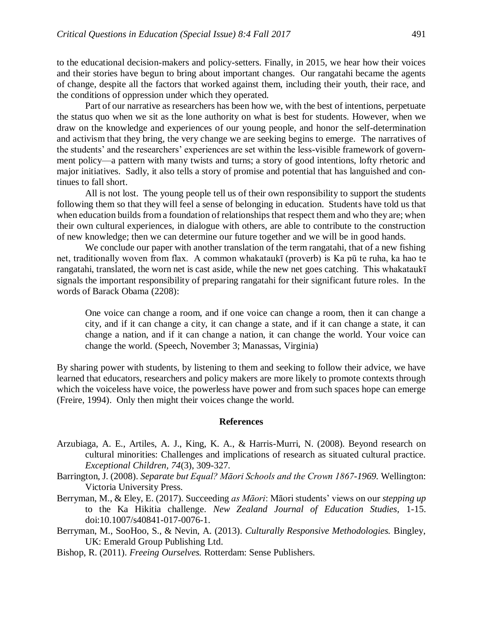to the educational decision-makers and policy-setters. Finally, in 2015, we hear how their voices and their stories have begun to bring about important changes. Our rangatahi became the agents of change, despite all the factors that worked against them, including their youth, their race, and the conditions of oppression under which they operated.

Part of our narrative as researchers has been how we, with the best of intentions, perpetuate the status quo when we sit as the lone authority on what is best for students. However, when we draw on the knowledge and experiences of our young people, and honor the self-determination and activism that they bring, the very change we are seeking begins to emerge. The narratives of the students' and the researchers' experiences are set within the less-visible framework of government policy—a pattern with many twists and turns; a story of good intentions, lofty rhetoric and major initiatives. Sadly, it also tells a story of promise and potential that has languished and continues to fall short.

All is not lost. The young people tell us of their own responsibility to support the students following them so that they will feel a sense of belonging in education. Students have told us that when education builds from a foundation of relationships that respect them and who they are; when their own cultural experiences, in dialogue with others, are able to contribute to the construction of new knowledge; then we can determine our future together and we will be in good hands.

We conclude our paper with another translation of the term rangatahi, that of a new fishing net, traditionally woven from flax. A common whakataukī (proverb) is Ka pū te ruha, ka hao te rangatahi, translated, the worn net is cast aside, while the new net goes catching. This whakataukī signals the important responsibility of preparing rangatahi for their significant future roles. In the words of Barack Obama (2208):

One voice can change a room, and if one voice can change a room, then it can change a city, and if it can change a city, it can change a state, and if it can change a state, it can change a nation, and if it can change a nation, it can change the world. Your voice can change the world. (Speech, November 3; Manassas, Virginia)

By sharing power with students, by listening to them and seeking to follow their advice, we have learned that educators, researchers and policy makers are more likely to promote contexts through which the voiceless have voice, the powerless have power and from such spaces hope can emerge (Freire, 1994). Only then might their voices change the world.

### **References**

- Arzubiaga, A. E., Artiles, A. J., King, K. A., & Harris-Murri, N. (2008). Beyond research on cultural minorities: Challenges and implications of research as situated cultural practice. *Exceptional Children, 74*(3), 309-327.
- Barrington, J. (2008). *Separate but Equal? Māori Schools and the Crown 1867-1969.* Wellington: Victoria University Press.
- Berryman, M., & Eley, E. (2017). Succeeding *as Māori*: Māori students' views on our *stepping up* to the Ka Hikitia challenge. *New Zealand Journal of Education Studies,* 1-15. doi:10.1007/s40841-017-0076-1.
- Berryman, M., SooHoo, S., & Nevin, A. (2013). *Culturally Responsive Methodologies.* Bingley, UK: Emerald Group Publishing Ltd.
- Bishop, R. (2011). *Freeing Ourselves.* Rotterdam: Sense Publishers.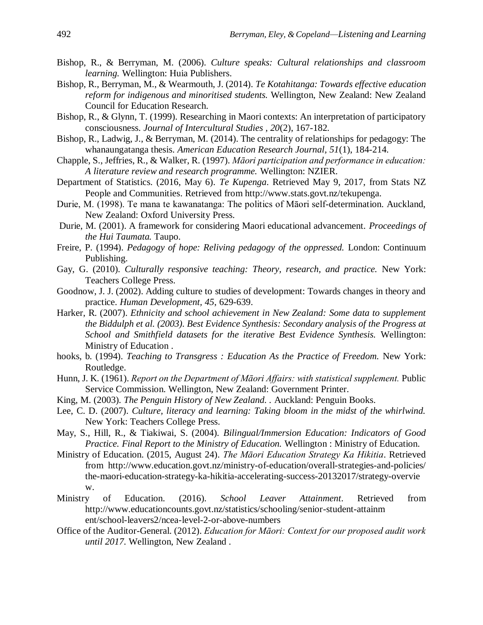- Bishop, R., & Berryman, M. (2006). *Culture speaks: Cultural relationships and classroom learning.* Wellington: Huia Publishers.
- Bishop, R., Berryman, M., & Wearmouth, J. (2014). *Te Kotahitanga: Towards effective education reform for indigenous and minoritised students.* Wellington, New Zealand: New Zealand Council for Education Research.
- Bishop, R., & Glynn, T. (1999). Researching in Maori contexts: An interpretation of participatory consciousness. *Journal of Intercultural Studies , 20*(2), 167-182.
- Bishop, R., Ladwig, J., & Berryman, M. (2014). The centrality of relationships for pedagogy: The whanaungatanga thesis. *American Education Research Journal, 51*(1), 184-214.
- Chapple, S., Jeffries, R., & Walker, R. (1997). *Māori participation and performance in education: A literature review and research programme.* Wellington: NZIER.
- Department of Statistics. (2016, May 6). *Te Kupenga*. Retrieved May 9, 2017, from Stats NZ People and Communities. Retrieved from http://www.stats.govt.nz/tekupenga.
- Durie, M. (1998). Te mana te kawanatanga: The politics of Māori self-determination. Auckland, New Zealand: Oxford University Press.
- Durie, M. (2001). A framework for considering Maori educational advancement. *Proceedings of the Hui Taumata.* Taupo.
- Freire, P. (1994). *Pedagogy of hope: Reliving pedagogy of the oppressed.* London: Continuum Publishing.
- Gay, G. (2010). *Culturally responsive teaching: Theory, research, and practice.* New York: Teachers College Press.
- Goodnow, J. J. (2002). Adding culture to studies of development: Towards changes in theory and practice. *Human Development, 45*, 629-639.
- Harker, R. (2007). *Ethnicity and school achievement in New Zealand: Some data to supplement the Biddulph et al. (2003). Best Evidence Synthesis: Secondary analysis of the Progress at School and Smithfield datasets for the iterative Best Evidence Synthesis.* Wellington: Ministry of Education .
- hooks, b. (1994). *Teaching to Transgress : Education As the Practice of Freedom.* New York: Routledge.
- Hunn, J. K. (1961). *Report on the Department of Māori Affairs: with statistical supplement.* Public Service Commission. Wellington, New Zealand: Government Printer.
- King, M. (2003). *The Penguin History of New Zealand. .* Auckland: Penguin Books.
- Lee, C. D. (2007). *Culture, literacy and learning: Taking bloom in the midst of the whirlwind.* New York: Teachers College Press.
- May, S., Hill, R., & Tiakiwai, S. (2004). *Bilingual/Immersion Education: Indicators of Good Practice. Final Report to the Ministry of Education.* Wellington : Ministry of Education.
- Ministry of Education. (2015, August 24). *The Māori Education Strategy Ka Hikitia*. Retrieved from http://www.education.govt.nz/ministry-of-education/overall-strategies-and-policies/ the-maori-education-strategy-ka-hikitia-accelerating-success-20132017/strategy-overvie w.
- Ministry of Education. (2016). *School Leaver Attainment*. Retrieved from http://www.educationcounts.govt.nz/statistics/schooling/senior-student-attainm ent/school-leavers2/ncea-level-2-or-above-numbers
- Office of the Auditor-General. (2012). *Education for Māori: Context for our proposed audit work until 2017.* Wellington, New Zealand .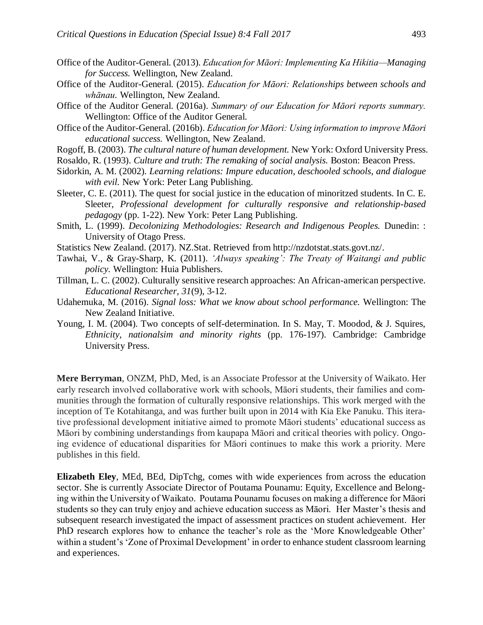- Office of the Auditor-General. (2013). *Education for Māori: Implementing Ka Hikitia—Managing for Success.* Wellington, New Zealand.
- Office of the Auditor-General. (2015). *Education for Māori: Relationships between schools and whānau.* Wellington, New Zealand.
- Office of the Auditor General. (2016a). *Summary of our Education for Māori reports summary.* Wellington: Office of the Auditor General.
- Office of the Auditor-General. (2016b). *Education for Māori: Using information to improve Māori educational success.* Wellington, New Zealand.
- Rogoff, B. (2003). *The cultural nature of human development.* New York: Oxford University Press.

Rosaldo, R. (1993). *Culture and truth: The remaking of social analysis.* Boston: Beacon Press.

- Sidorkin, A. M. (2002). *Learning relations: Impure education, deschooled schools, and dialogue with evil.* New York: Peter Lang Publishing.
- Sleeter, C. E. (2011). The quest for social justice in the education of minoritzed students. In C. E. Sleeter, *Professional development for culturally responsive and relationship-based pedagogy* (pp. 1-22). New York: Peter Lang Publishing.
- Smith, L. (1999). *Decolonizing Methodologies: Research and Indigenous Peoples.* Dunedin: : University of Otago Press.
- Statistics New Zealand. (2017). NZ.Stat. Retrieved from http://nzdotstat.stats.govt.nz/.
- Tawhai, V., & Gray-Sharp, K. (2011). *'Always speaking': The Treaty of Waitangi and public policy.* Wellington: Huia Publishers.
- Tillman, L. C. (2002). Culturally sensitive research approaches: An African-american perspective. *Educational Researcher, 31*(9), 3-12.
- Udahemuka, M. (2016). *Signal loss: What we know about school performance.* Wellington: The New Zealand Initiative.
- Young, I. M. (2004). Two concepts of self-determination. In S. May, T. Moodod, & J. Squires, *Ethnicity, nationalsim and minority rights* (pp. 176-197). Cambridge: Cambridge University Press.

**Mere Berryman**, ONZM, PhD, Med, is an Associate Professor at the University of Waikato. Her early research involved collaborative work with schools, Māori students, their families and communities through the formation of culturally responsive relationships. This work merged with the inception of Te Kotahitanga, and was further built upon in 2014 with Kia Eke Panuku. This iterative professional development initiative aimed to promote Māori students' educational success as Māori by combining understandings from kaupapa Māori and critical theories with policy. Ongoing evidence of educational disparities for Māori continues to make this work a priority. Mere publishes in this field.

**Elizabeth Eley**, MEd, BEd, DipTchg, comes with wide experiences from across the education sector. She is currently Associate Director of Poutama Pounamu: Equity, Excellence and Belonging within the University of Waikato. Poutama Pounamu focuses on making a difference for Māori students so they can truly enjoy and achieve education success as Māori. Her Master's thesis and subsequent research investigated the impact of assessment practices on student achievement. Her PhD research explores how to enhance the teacher's role as the 'More Knowledgeable Other' within a student's 'Zone of Proximal Development' in order to enhance student classroom learning and experiences.